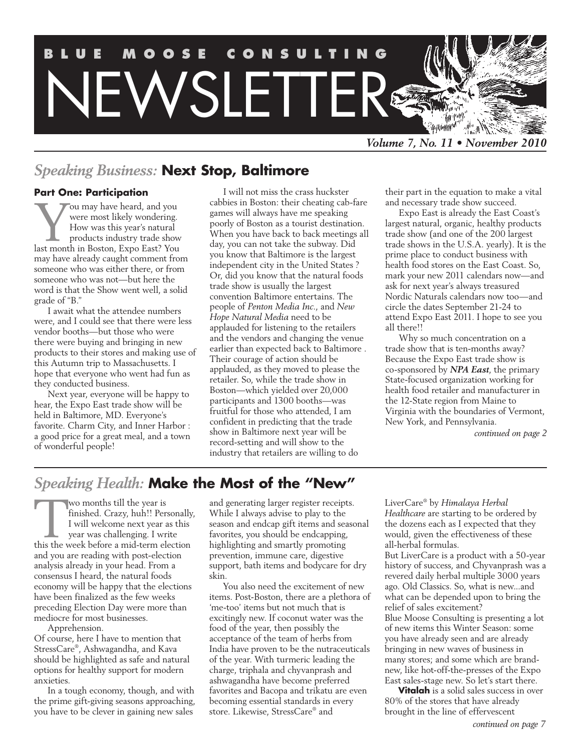

## *Speaking Business:* **Next Stop, Baltimore**

### **Part One: Participation**

You may have heard, and you<br>were most likely wondering.<br>How was this year's natural<br>products industry trade show<br>last month in Boston. Expo East? You were most likely wondering. How was this year's natural products industry trade show last month in Boston, Expo East? You may have already caught comment from someone who was either there, or from someone who was not—but here the word is that the Show went well, a solid grade of "B."

I await what the attendee numbers were, and I could see that there were less vendor booths—but those who were there were buying and bringing in new products to their stores and making use of this Autumn trip to Massachusetts. I hope that everyone who went had fun as they conducted business.

Next year, everyone will be happy to hear, the Expo East trade show will be held in Baltimore, MD. Everyone's favorite. Charm City, and Inner Harbor : a good price for a great meal, and a town of wonderful people!

I will not miss the crass huckster cabbies in Boston: their cheating cab-fare games will always have me speaking poorly of Boston as a tourist destination. When you have back to back meetings all day, you can not take the subway. Did you know that Baltimore is the largest independent city in the United States ? Or, did you know that the natural foods trade show is usually the largest convention Baltimore entertains. The people of *Penton Media Inc.*, and *New Hope Natural Media* need to be applauded for listening to the retailers and the vendors and changing the venue earlier than expected back to Baltimore . Their courage of action should be applauded, as they moved to please the retailer. So, while the trade show in Boston—which yielded over 20,000 participants and 1300 booths—was fruitful for those who attended, I am confident in predicting that the trade show in Baltimore next year will be record-setting and will show to the industry that retailers are willing to do

their part in the equation to make a vital and necessary trade show succeed.

Expo East is already the East Coast's largest natural, organic, healthy products trade show (and one of the 200 largest trade shows in the U.S.A. yearly). It is the prime place to conduct business with health food stores on the East Coast. So, mark your new 2011 calendars now—and ask for next year's always treasured Nordic Naturals calendars now too—and circle the dates September 21-24 to attend Expo East 2011. I hope to see you all there!!

Why so much concentration on a trade show that is ten-months away? Because the Expo East trade show is co-sponsored by *NPA East*, the primary State-focused organization working for health food retailer and manufacturer in the 12-State region from Maine to Virginia with the boundaries of Vermont, New York, and Pennsylvania.

*continued on page 2*

## *Speaking Health:* **Make the Most of the "New"**

Wo months till the year is<br>finished. Crazy, huh!! Pers<br>I will welcome next year a<br>year was challenging. I wr:<br>this the week before a mid-term ele finished. Crazy, huh!! Personally, I will welcome next year as this year was challenging. I write this the week before a mid-term election and you are reading with post-election analysis already in your head. From a consensus I heard, the natural foods economy will be happy that the elections have been finalized as the few weeks preceding Election Day were more than mediocre for most businesses.

Apprehension.

Of course, here I have to mention that StressCare® , Ashwagandha, and Kava should be highlighted as safe and natural options for healthy support for modern anxieties.

In a tough economy, though, and with the prime gift-giving seasons approaching, you have to be clever in gaining new sales

and generating larger register receipts. While I always advise to play to the season and endcap gift items and seasonal favorites, you should be endcapping, highlighting and smartly promoting prevention, immune care, digestive support, bath items and bodycare for dry skin.

You also need the excitement of new items. Post-Boston, there are a plethora of 'me-too' items but not much that is excitingly new. If coconut water was the food of the year, then possibly the acceptance of the team of herbs from India have proven to be the nutraceuticals of the year. With turmeric leading the charge, triphala and chyvanprash and ashwagandha have become preferred favorites and Bacopa and trikatu are even becoming essential standards in every store. Likewise, StressCare® and

LiverCare® by *Himalaya Herbal Healthcare* are starting to be ordered by the dozens each as I expected that they would, given the effectiveness of these all-herbal formulas.

But LiverCare is a product with a 50-year history of success, and Chyvanprash was a revered daily herbal multiple 3000 years ago. Old Classics. So, what is new...and what can be depended upon to bring the relief of sales excitement? Blue Moose Consulting is presenting a lot of new items this Winter Season: some you have already seen and are already bringing in new waves of business in

many stores; and some which are brandnew, like hot-off-the-presses of the Expo East sales-stage new. So let's start there.

**Vitalah** is a solid sales success in over 80% of the stores that have already brought in the line of effervescent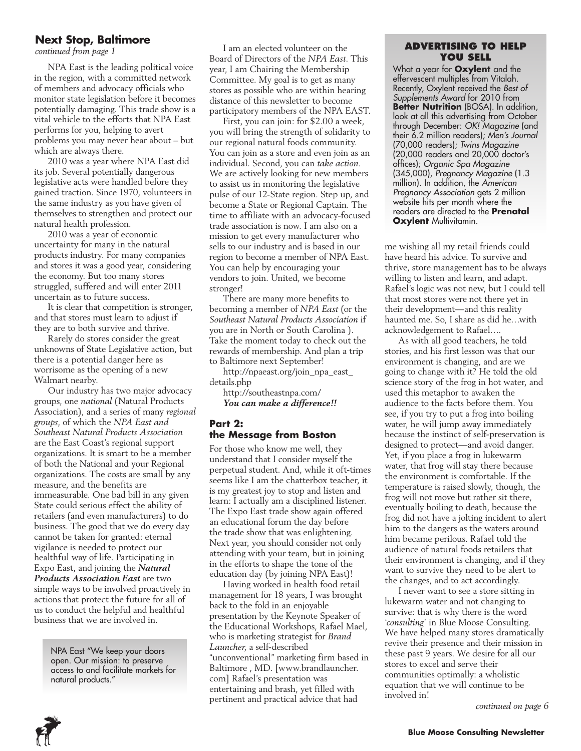### **Next Stop, Baltimore**

*continued from page 1*

NPA East is the leading political voice in the region, with a committed network of members and advocacy officials who monitor state legislation before it becomes potentially damaging. This trade show is a vital vehicle to the efforts that NPA East performs for you, helping to avert problems you may never hear about – but which are always there.

2010 was a year where NPA East did its job. Several potentially dangerous legislative acts were handled before they gained traction. Since 1970, volunteers in the same industry as you have given of themselves to strengthen and protect our natural health profession.

2010 was a year of economic uncertainty for many in the natural products industry. For many companies and stores it was a good year, considering the economy. But too many stores struggled, suffered and will enter 2011 uncertain as to future success.

It is clear that competition is stronger, and that stores must learn to adjust if they are to both survive and thrive.

Rarely do stores consider the great unknowns of State Legislative action, but there is a potential danger here as worrisome as the opening of a new Walmart nearby.

Our industry has two major advocacy groups, one *national* (Natural Products Association), and a series of many *regional groups*, of which the *NPA East and Southeast Natural Products Association* are the East Coast's regional support organizations. It is smart to be a member of both the National and your Regional organizations. The costs are small by any measure, and the benefits are immeasurable. One bad bill in any given State could serious effect the ability of retailers (and even manufacturers) to do business. The good that we do every day cannot be taken for granted: eternal vigilance is needed to protect our healthful way of life. Participating in Expo East, and joining the *Natural Products Association East* are two simple ways to be involved proactively in actions that protect the future for all of us to conduct the helpful and healthful business that we are involved in.

> NPA East "We keep your doors open. Our mission: to preserve access to and facilitate markets for natural products."

I am an elected volunteer on the Board of Directors of the *NPA East*. This year, I am Chairing the Membership Committee. My goal is to get as many stores as possible who are within hearing distance of this newsletter to become participatory members of the NPA EAST.

First, you can join: for \$2.00 a week, you will bring the strength of solidarity to our regional natural foods community. You can join as a store and even join as an individual. Second, you can *take action.* We are actively looking for new members to assist us in monitoring the legislative pulse of our 12-State region. Step up, and become a State or Regional Captain. The time to affiliate with an advocacy-focused trade association is now. I am also on a mission to get every manufacturer who sells to our industry and is based in our region to become a member of NPA East. You can help by encouraging your vendors to join. United, we become stronger!

There are many more benefits to becoming a member of *NPA East* (or the *Southeast Natural Products Association* if you are in North or South Carolina ). Take the moment today to check out the rewards of membership. And plan a trip to Baltimore next September!

http://npaeast.org/join\_npa\_east\_ details.php

http://southeastnpa.com/ *You can make a difference!!*

### **Part 2: the Message from Boston**

For those who know me well, they understand that I consider myself the perpetual student. And, while it oft-times seems like I am the chatterbox teacher, it is my greatest joy to stop and listen and learn: I actually am a disciplined listener. The Expo East trade show again offered an educational forum the day before the trade show that was enlightening. Next year, you should consider not only attending with your team, but in joining in the efforts to shape the tone of the education day (by joining NPA East)!

Having worked in health food retail management for 18 years, I was brought back to the fold in an enjoyable presentation by the Keynote Speaker of the Educational Workshops, Rafael Mael, who is marketing strategist for *Brand Launcher*, a self-described "unconventional" marketing firm based in Baltimore , MD. [www.brandlauncher. com] Rafael's presentation was entertaining and brash, yet filled with pertinent and practical advice that had

### **Advertising to Help You Sell**

What a year for **Oxylent** and the effervescent multiples from Vitalah. Recently, Oxylent received the *Best of Supplements Award* for 2010 from **Better Nutrition** (BOSA). In addition, look at all this advertising from October through December: *OK! Magazine* (and their 6.2 million readers); *Men's Journal*  (70,000 readers); *Twins Magazine*  (20,000 readers and 20,000 doctor's offices); *Organic Spa Magazine*  (345,000), *Pregnancy Magazine* (1.3 million). In addition, the *American Pregnancy Association* gets 2 million website hits per month where the readers are directed to the **Prenatal Oxylent Multivitamin.** 

me wishing all my retail friends could have heard his advice. To survive and thrive, store management has to be always willing to listen and learn, and adapt. Rafael's logic was not new, but I could tell that most stores were not there yet in their development—and this reality haunted me. So, I share as did he…with acknowledgement to Rafael….

As with all good teachers, he told stories, and his first lesson was that our environment is changing, and are we going to change with it? He told the old science story of the frog in hot water, and used this metaphor to awaken the audience to the facts before them. You see, if you try to put a frog into boiling water, he will jump away immediately because the instinct of self-preservation is designed to protect—and avoid danger. Yet, if you place a frog in lukewarm water, that frog will stay there because the environment is comfortable. If the temperature is raised slowly, though, the frog will not move but rather sit there, eventually boiling to death, because the frog did not have a jolting incident to alert him to the dangers as the waters around him became perilous. Rafael told the audience of natural foods retailers that their environment is changing, and if they want to survive they need to be alert to the changes, and to act accordingly.

I never want to see a store sitting in lukewarm water and not changing to survive: that is why there is the word '*consulting*' in Blue Moose Consulting. We have helped many stores dramatically revive their presence and their mission in these past 9 years. We desire for all our stores to excel and serve their communities optimally: a wholistic equation that we will continue to be involved in!

*continued on page 6*

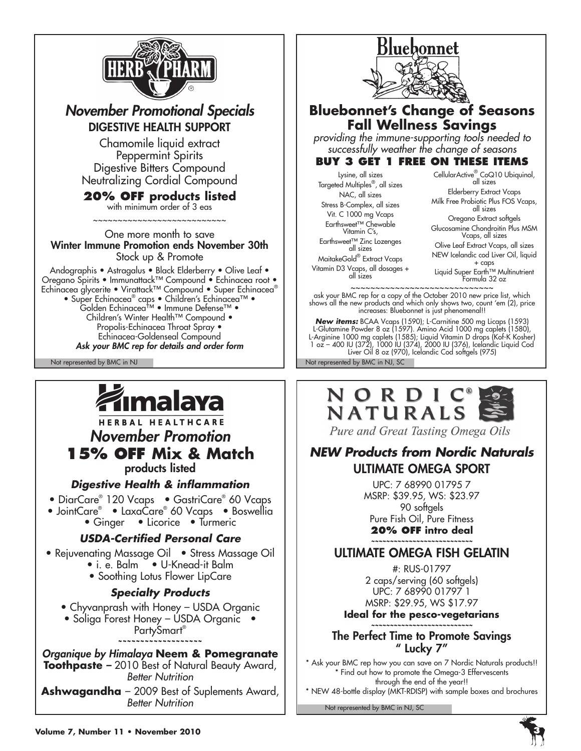

## *November Promotional Specials* DIGESTIVE HEALTH SUPPORT

Chamomile liquid extract Peppermint Spirits Digestive Bitters Compound Neutralizing Cordial Compound

## **20% Off products listed**

with minimum order of 3 eas ~~~~~~~~~~~~~~~~~~~~~~~~~~

One more month to save Winter Immune Promotion ends November 30th Stock up & Promote

Andographis • Astragalus • Black Elderberry • Olive Leaf • Oregano Spirits • Immunattack™ Compound • Echinacea root • Echinacea glycerite • Virattack™ Compound • Super Echinacea® • Super Echinacea® caps • Children's Echinacea™ • Golden Echinacea™ • Immune Defense™ • Children's Winter Health™ Compound • Propolis-Echinacea Throat Spray • Echinacea-Goldenseal Compound *Ask your BMC rep for details and order form*

Not represented by BMC in NJ Not represented by BMC in NJ, SC



HERBAL HEALTHCARE *November Promotion*  **15% OFF Mix & Match**

products listed

*Digestive Health & inflammation*

- DiarCare® 120 Vcaps GastriCare® 60 Vcaps
- JointCare® LaxaCare® 60 Vcaps Boswellia
	- Ginger Licorice Turmeric

### *USDA-Certified Personal Care*

- Rejuvenating Massage Oil Stress Massage Oil • i. e. Balm • U-Knead-it Balm
	- Soothing Lotus Flower LipCare

### *Specialty Products*

- Chyvanprash with Honey USDA Organic
- Soliga Forest Honey USDA Organic PartySmart®

**~~~~~~~~~~~~~~~~~~~**

### *Organique by Himalaya* **Neem & Pomegranate Toothpaste** *–* 2010 Best of Natural Beauty Award, *Better Nutrition*  **Ashwagandha** – 2009 Best of Suplements Award,

*Better Nutrition*



## **Bluebonnet's Change of Seasons Fall Wellness Savings**

*providing the immune-supporting tools needed to successfully weather the change of seasons*

### **Buy 3 Get 1 Free on these items**

Lysine, all sizes Targeted Multiples® , all sizes NAC, all sizes Stress B-Complex, all sizes Vit. C 1000 mg Vcaps Earthsweet™ Chewable Vitamin C's,

MaitakeGold® Extract Vcaps Vitamin D3 Vcaps, all dosages + all sizes

CellularActive® CoQ10 Ubiquinol, all sizes

Elderberry Extract Vcaps Milk Free Probiotic Plus FOS Vcaps, all sizes

Oregano Extract softgels Glucosamine Chondroitin Plus MSM Vcaps, all sizes

Earthsweet™ Zinc Lozenges all sizes

Olive Leaf Extract Vcaps, all sizes NEW Icelandic cod Liver Oil, liquid + caps

Liquid Super Earth™ Multinutrient Formula 32 oz

~~~~~~~~~~~~~~~~~~~~~~~~~~~~~ ask your BMC rep for a copy of the October 2010 new price list, which shows all the new products and which only shows two, count 'em (2), price increases: Bluebonnet is just phenomenal!!

*New items:* BCAA Vcaps (1590); L-Carnitine 500 mg Licaps (1593) L-Glutamine Powder 8 oz (1597). Amino Acid 1000 mg caplets (1580), L-Arginine 1000 mg caplets (1585); Liquid Vitamin D drops (Kof-K Kosher) 1 oz – 400 IU (372), 1000 IU (374), 2000 IU (376), Icelandic Liquid Cod Liver Oil 8 oz (970), Icelandic Cod softgels (975)



Pure and Great Tasting Omega Oils

## *NEW Products from Nordic Naturals* Ultimate Omega SPORT

UPC: 7 68990 01795 7 MSRP: \$39.95, WS: \$23.97 90 softgels Pure Fish Oil, Pure Fitness **20% off intro deal**

#### *~~~~~~~~~~~~~~~~~~~~~~~~~~~* Ultimate Omega Fish Gelatin

#: RUS-01797 2 caps/serving (60 softgels) UPC: 7 68990 01797 1 MSRP: \$29.95, WS \$17.97

**Ideal for the pesco-vegetarians** *~~~~~~~~~~~~~~~~~~~~~~~~~~~*

### The Perfect Time to Promote Savings " Lucky 7"

\* Ask your BMC rep how you can save on 7 Nordic Naturals products!! \* Find out how to promote the Omega-3 Effervescents through the end of the year!!

\* NEW 48-bottle display (MKT-RDISP) with sample boxes and brochures

Not represented by BMC in NJ, SC

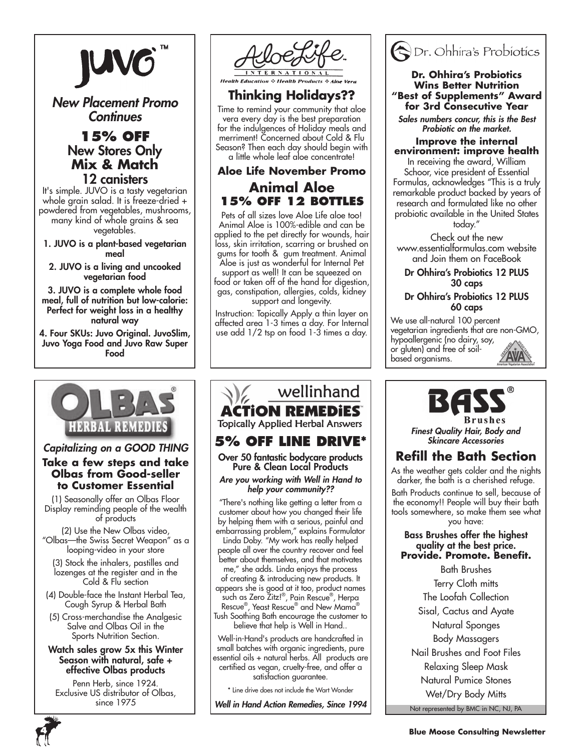

*New Placement Promo Continues*

### **15% Off** New Stores Only **Mix & Match** 12 canisters

It's simple. JUVO is a tasty vegetarian whole grain salad. It is freeze-dried + powdered from vegetables, mushrooms, many kind of whole grains & sea vegetables.

- 1. JUVO is a plant-based vegetarian meal
	- 2. JUVO is a living and uncooked vegetarian food

3. JUVO is a complete whole food meal, full of nutrition but low-calorie: Perfect for weight loss in a healthy natural way

4. Four SKUs: Juvo Original. JuvoSlim, Juvo Yoga Food and Juvo Raw Super Food



# *Capitalizing on a GOOD THING*

### **Take a few steps and take Olbas from Good-seller to Customer Essential**

(1) Seasonally offer an Olbas Floor Display reminding people of the wealth of products

(2) Use the New Olbas video, "Olbas—the Swiss Secret Weapon" as a looping-video in your store

(3) Stock the inhalers, pastilles and lozenges at the register and in the Cold & Flu section

(4) Double-face the Instant Herbal Tea, Cough Syrup & Herbal Bath

(5) Cross-merchandise the Analgesic Salve and Olbas Oil in the Sports Nutrition Section.

### Watch sales grow 5x this Winter Season with natural, safe + effective Olbas products

Penn Herb, since 1924. Exclusive US distributor of Olbas, since 1975



### **☆ Health Products**

**Thinking Holidays??**

Time to remind your community that aloe vera every day is the best preparation for the indulgences of Holiday meals and merriment! Concerned about Cold & Flu Season? Then each day should begin with a little whole leaf aloe concentrate!

## **Aloe Life November Promo Animal Aloe 15% off 12 bottles**

Pets of all sizes love Aloe Life aloe too! Animal Aloe is 100%-edible and can be applied to the pet directly for wounds, hair loss, skin irritation, scarring or brushed on gums for tooth & gum treatment. Animal Aloe is just as wonderful for Internal Pet support as well! It can be squeezed on food or taken off of the hand for digestion, gas, constipation, allergies, colds, kidney support and longevity.

Instruction: Topically Apply a thin layer on affected area 1-3 times a day. For Internal use add 1/2 tsp on food 1-3 times a day.

## wellinhand ACTION REMEDIES **Topically Applied Herbal Answers**

## **5% off line Drive\***

Over 50 fantastic bodycare products Pure & Clean Local Products

### *Are you working with Well in Hand to help your community??*

"There's nothing like getting a letter from a customer about how you changed their life by helping them with a serious, painful and embarrassing problem," explains Formulator Linda Doby. "My work has really helped people all over the country recover and feel better about themselves, and that motivates me," she adds. Linda enjoys the process of creating & introducing new products. It appears she is good at it too, product names such as Zero Zitz!® , Pain Rescue® , Herpa

Rescue® , Yeast Rescue® and New Mama® Tush Soothing Bath encourage the customer to

believe that help is Well in Hand..

Well-in-Hand's products are handcrafted in small batches with organic ingredients, pure essential oils + natural herbs. All products are certified as vegan, cruelty-free, and offer a satisfaction guarantee.

\* Line drive does not include the Wart Wonder

*Well in Hand Action Remedies, Since 1994*



#### **Dr. Ohhira's Probiotics Wins Better Nutrition "Best of Supplements" Award for 3rd Consecutive Year**

*Sales numbers concur, this is the Best Probiotic on the market.*

### **Improve the internal environment: improve health**

In receiving the award, William Schoor, vice president of Essential Formulas, acknowledges "This is a truly remarkable product backed by years of research and formulated like no other probiotic available in the United States today."

Check out the new www.essentialformulas.com website and Join them on FaceBook

### Dr Ohhira's Probiotics 12 PLUS 30 caps

### Dr Ohhira's Probiotics 12 PLUS 60 caps

We use all-natural 100 percent vegetarian ingredients that are non-GMO, hypoallergenic (no dairy, soy, or gluten) and free of soilbased organisms.



*Finest Quality Hair, Body and Skincare Accessories*

## **Refill the Bath Section**

As the weather gets colder and the nights darker, the bath is a cherished refuge.

Bath Products continue to sell, because of the economy!! People will buy their bath tools somewhere, so make them see what you have:

### Bass Brushes offer the highest quality at the best price. **Provide. Promote. Benefit.**

Not represented by BMC in NC, NJ, PA Bath Brushes Terry Cloth mitts The Loofah Collection Sisal, Cactus and Ayate Natural Sponges Body Massagers Nail Brushes and Foot Files Relaxing Sleep Mask Natural Pumice Stones Wet/Dry Body Mitts

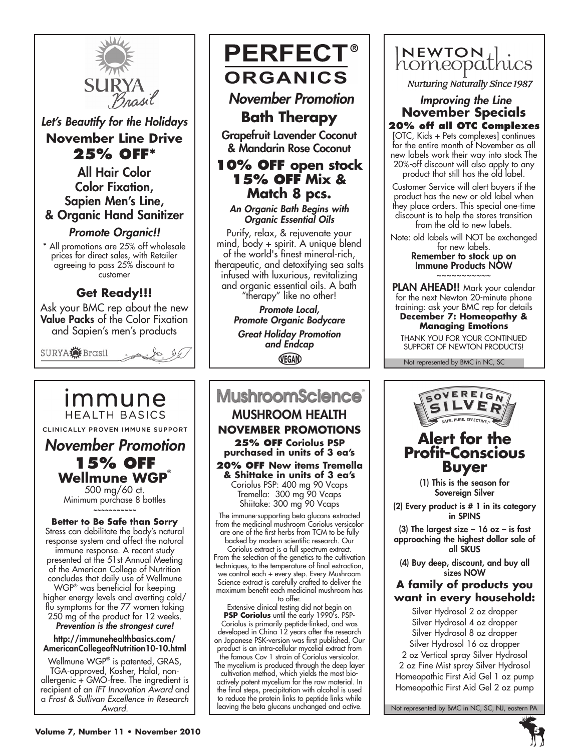

*Let's Beautify for the Holidays* **November Line Drive 25% off\***

All Hair Color Color Fixation, Sapien Men's Line, & Organic Hand Sanitizer

*Promote Organic!!*

\* All promotions are 25% off wholesale prices for direct sales, with Retailer agreeing to pass 25% discount to customer

## **Get Ready!!!**

Ask your BMC rep about the new Value Packs of the Color Fixation and Sapien's men's products

SURYA<sup>S</sup>EBrasil  $\sqrt{2}$ . le 06

immune **HEALTH BASICS** CLINICALLY PROVEN IMMUNE SUPPORT

*November Promotion* **15% off Wellmune WGP**® 500 mg/60 ct.

Minimum purchase 8 bottles **~~~~~~~~~~~**

**Better to Be Safe than Sorry** Stress can debilitate the body's natural response system and affect the natural immune response. A recent study presented at the 51st Annual Meeting of the American College of Nutrition concludes that daily use of Wellmune WGP® was beneficial for keeping higher energy levels and averting cold/

flu symptoms for the 77 women taking 250 mg of the product for 12 weeks. *Prevention is the strongest cure!*

http://immunehealthbasics.com/ AmericanCollegeofNutrition10-10.html

Wellmune WGP® is patented, GRAS, TGA-approved, Kosher, Halal, nonallergenic + GMO-free. The ingredient is recipient of an *IFT Innovation Award* and a *Frost & Sullivan Excellence in Research Award.*

# **PERFECT® ORGANICS**  *November Promotion*

**Bath Therapy**

Grapefruit Lavender Coconut & Mandarin Rose Coconut

### **10% off open stock 15% off Mix & Match 8 pcs.**

*An Organic Bath Begins with Organic Essential Oils*

Purify, relax, & rejuvenate your mind, body + spirit. A unique blend of the world's finest mineral-rich, therapeutic, and detoxifying sea salts infused with luxurious, revitalizing and organic essential oils. A bath "therapy" like no other!

*Promote Local, Promote Organic Bodycare Great Holiday Promotion and Endcap* VEGAN

# **MushroomScience**®

Mushroom Health **November Promotions 25% off Coriolus PSP purchased in units of 3 ea's 20% off New items Tremella & Shittake in units of 3 ea's** 

Coriolus PSP: 400 mg 90 Vcaps Tremella: 300 mg 90 Vcaps Shiitake: 300 mg 90 Vcaps

The immune-supporting beta glucans extracted from the medicinal mushroom Coriolus versicolor are one of the first herbs from TCM to be fully backed by modern scientific research. Our Coriolus extract is a full spectrum extract. From the selection of the genetics to the cultivation

techniques, to the temperature of final extraction, we control each + every step. Every Mushroom Science extract is carefully crafted to deliver the maximum benefit each medicinal mushroom has to offer.

Extensive clinical testing did not begin on **PSP Coriolus** until the early 1990's. PSP-Coriolus is primarily peptide-linked, and was developed in China 12 years after the research on Japanese PSK-version was first published. Our product is an intra-cellular mycelial extract from the famous Cov 1 strain of Coriolus versicolor. The mycelium is produced through the deep layer cultivation method, which yields the most bioactively potent mycelium for the raw material. In the final steps, precipitation with alcohol is used to reduce the protein links to peptide links while leaving the beta glucans unchanged and active.



**Nurturing Naturally Since 1987** 

## *Improving the Line* **November Specials**

**20% off all OTC Complexes**  [OTC, Kids + Pets complexes] continues for the entire month of November as all new labels work their way into stock The 20%-off discount will also apply to any product that still has the old label.

Customer Service will alert buyers if the product has the new or old label when they place orders. This special one-time discount is to help the stores transition from the old to new labels.

Note: old labels will NOT be exchanged for new labels.

Remember to stock up on Immune Products NOW ~~~~~~~~~~~

PLAN AHEAD!! Mark your calendar for the next Newton 20-minute phone training: ask your BMC rep for details **December 7: Homeopathy &** 

**Managing Emotions**

THANK YOU FOR YOUR CONTINUED SUPPORT OF NEWTON PRODUCTS!

Not represented by BMC in NC, SC



(3) The largest size  $-16$  oz  $-$  is fast approaching the highest dollar sale of all SKUS

(4) Buy deep, discount, and buy all sizes NOW

### **A family of products you want in every household:**

Silver Hydrosol 2 oz dropper Silver Hydrosol 4 oz dropper Silver Hydrosol 8 oz dropper Silver Hydrosol 16 oz dropper 2 oz Vertical spray Silver Hydrosol 2 oz Fine Mist spray Silver Hydrosol Homeopathic First Aid Gel 1 oz pump Homeopathic First Aid Gel 2 oz pump

Not represented by BMC in NC, SC, NJ, eastern PA

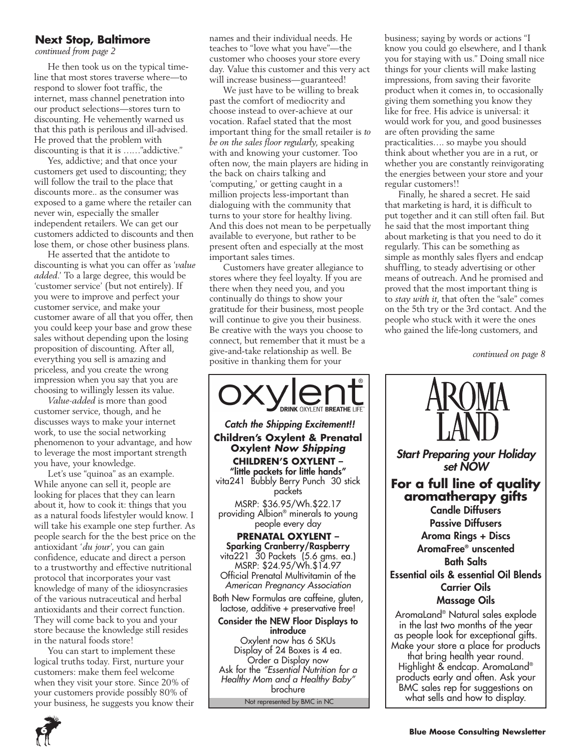### **Next Stop, Baltimore**

*continued from page 2*

He then took us on the typical timeline that most stores traverse where—to respond to slower foot traffic, the internet, mass channel penetration into our product selections—stores turn to discounting. He vehemently warned us that this path is perilous and ill-advised. He proved that the problem with discounting is that it is ……"addictive."

Yes, addictive; and that once your customers get used to discounting; they will follow the trail to the place that discounts more.. as the consumer was exposed to a game where the retailer can never win, especially the smaller independent retailers. We can get our customers addicted to discounts and then lose them, or chose other business plans.

He asserted that the antidote to discounting is what you can offer as '*value added*.' To a large degree, this would be 'customer service' (but not entirely). If you were to improve and perfect your customer service, and make your customer aware of all that you offer, then you could keep your base and grow these sales without depending upon the losing proposition of discounting. After all, everything you sell is amazing and priceless, and you create the wrong impression when you say that you are choosing to willingly lessen its value.

*Value-added* is more than good customer service, though, and he discusses ways to make your internet work, to use the social networking phenomenon to your advantage, and how to leverage the most important strength you have, your knowledge.

Let's use "quinoa" as an example. While anyone can sell it, people are looking for places that they can learn about it, how to cook it: things that you as a natural foods lifestyler would know. I will take his example one step further. As people search for the the best price on the antioxidant '*du jour*', you can gain confidence, educate and direct a person to a trustworthy and effective nutritional protocol that incorporates your vast knowledge of many of the idiosyncrasies of the various nutraceutical and herbal antioxidants and their correct function. They will come back to you and your store because the knowledge still resides in the natural foods store!

You can start to implement these logical truths today. First, nurture your customers: make them feel welcome when they visit your store. Since 20% of your customers provide possibly 80% of your business, he suggests you know their names and their individual needs. He teaches to "love what you have"—the customer who chooses your store every day. Value this customer and this very act will increase business—guaranteed!

We just have to be willing to break past the comfort of mediocrity and choose instead to over-achieve at our vocation. Rafael stated that the most important thing for the small retailer is *to be on the sales floor regularly*, speaking with and knowing your customer. Too often now, the main players are hiding in the back on chairs talking and 'computing,' or getting caught in a million projects less-important than dialoguing with the community that turns to your store for healthy living. And this does not mean to be perpetually available to everyone, but rather to be present often and especially at the most important sales times.

Customers have greater allegiance to stores where they feel loyalty. If you are there when they need you, and you continually do things to show your gratitude for their business, most people will continue to give you their business. Be creative with the ways you choose to connect, but remember that it must be a give-and-take relationship as well. Be positive in thanking them for your



Not represented by BMC in NC

business; saying by words or actions "I know you could go elsewhere, and I thank you for staying with us." Doing small nice things for your clients will make lasting impressions, from saving their favorite product when it comes in, to occasionally giving them something you know they like for free. His advice is universal: it would work for you, and good businesses are often providing the same practicalities…. so maybe you should think about whether you are in a rut, or whether you are constantly reinvigorating the energies between your store and your regular customers!!

Finally, he shared a secret. He said that marketing is hard, it is difficult to put together and it can still often fail. But he said that the most important thing about marketing is that you need to do it regularly. This can be something as simple as monthly sales flyers and endcap shuffling, to steady advertising or other means of outreach. And he promised and proved that the most important thing is to *stay with it,* that often the "sale" comes on the 5th try or the 3rd contact. And the people who stuck with it were the ones who gained the life-long customers, and

*continued on page 8*



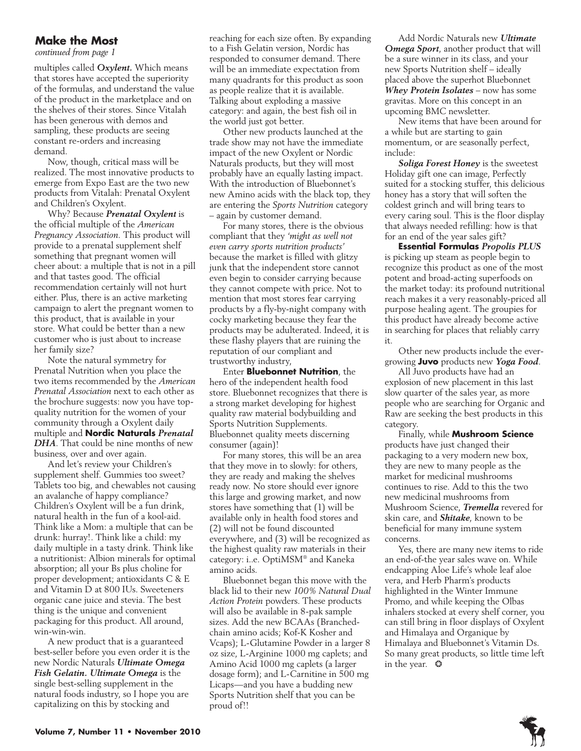### **Make the Most**

*continued from page 1*

multiples called *Oxylent.* Which means that stores have accepted the superiority of the formulas, and understand the value of the product in the marketplace and on the shelves of their stores. Since Vitalah has been generous with demos and sampling, these products are seeing constant re-orders and increasing demand.

Now, though, critical mass will be realized. The most innovative products to emerge from Expo East are the two new products from Vitalah: Prenatal Oxylent and Children's Oxylent.

Why? Because *Prenatal Oxylent* is the official multiple of the *American Pregnancy Association.* This product will provide to a prenatal supplement shelf something that pregnant women will cheer about: a multiple that is not in a pill and that tastes good. The official recommendation certainly will not hurt either. Plus, there is an active marketing campaign to alert the pregnant women to this product, that is available in your store. What could be better than a new customer who is just about to increase her family size?

Note the natural symmetry for Prenatal Nutrition when you place the two items recommended by the *American Prenatal Association* next to each other as the brochure suggests: now you have topquality nutrition for the women of your community through a Oxylent daily multiple and **Nordic Naturals** *Prenatal DHA*. That could be nine months of new business, over and over again.

And let's review your Children's supplement shelf. Gummies too sweet? Tablets too big, and chewables not causing an avalanche of happy compliance? Children's Oxylent will be a fun drink, natural health in the fun of a kool-aid. Think like a Mom: a multiple that can be drunk: hurray!. Think like a child: my daily multiple in a tasty drink. Think like a nutritionist: Albion minerals for optimal absorption; all your Bs plus choline for proper development; antioxidants C & E and Vitamin D at 800 IUs. Sweeteners organic cane juice and stevia. The best thing is the unique and convenient packaging for this product. All around, win-win-win.

A new product that is a guaranteed best-seller before you even order it is the new Nordic Naturals *Ultimate Omega Fish Gelatin. Ultimate Omega* is the single best-selling supplement in the natural foods industry, so I hope you are capitalizing on this by stocking and

reaching for each size often. By expanding to a Fish Gelatin version, Nordic has responded to consumer demand. There will be an immediate expectation from many quadrants for this product as soon as people realize that it is available. Talking about exploding a massive category: and again, the best fish oil in the world just got better.

Other new products launched at the trade show may not have the immediate impact of the new Oxylent or Nordic Naturals products, but they will most probably have an equally lasting impact. With the introduction of Bluebonnet's new Amino acids with the black top, they are entering the *Sports Nutrition* category – again by customer demand.

For many stores, there is the obvious compliant that they *'might as well not even carry sports nutrition products'* because the market is filled with glitzy junk that the independent store cannot even begin to consider carrying because they cannot compete with price. Not to mention that most stores fear carrying products by a fly-by-night company with cocky marketing because they fear the products may be adulterated. Indeed, it is these flashy players that are ruining the reputation of our compliant and trustworthy industry,

Enter **Bluebonnet Nutrition**, the hero of the independent health food store. Bluebonnet recognizes that there is a strong market developing for highest quality raw material bodybuilding and Sports Nutrition Supplements. Bluebonnet quality meets discerning consumer (again)!

For many stores, this will be an area that they move in to slowly: for others, they are ready and making the shelves ready now. No store should ever ignore this large and growing market, and now stores have something that (1) will be available only in health food stores and (2) will not be found discounted everywhere, and (3) will be recognized as the highest quality raw materials in their category: i..e. OptiMSM® and Kaneka amino acids.

Bluebonnet began this move with the black lid to their new *100% Natural Dual Action Protein* powders. These products will also be available in 8-pak sample sizes. Add the new BCAAs (Branchedchain amino acids; Kof-K Kosher and Vcaps); L-Glutamine Powder in a larger 8 oz size, L-Arginine 1000 mg caplets; and Amino Acid 1000 mg caplets (a larger dosage form); and L-Carnitine in 500 mg Licaps—and you have a budding new Sports Nutrition shelf that you can be proud of!!

Add Nordic Naturals new *Ultimate Omega Sport*, another product that will be a sure winner in its class, and your new Sports Nutrition shelf – ideally placed above the superhot Bluebonnet *Whey Protein Isolates* – now has some gravitas. More on this concept in an upcoming BMC newsletter.

New items that have been around for a while but are starting to gain momentum, or are seasonally perfect, include:

*Soliga Forest Honey* is the sweetest Holiday gift one can image, Perfectly suited for a stocking stuffer, this delicious honey has a story that will soften the coldest grinch and will bring tears to every caring soul. This is the floor display that always needed refilling: how is that for an end of the year sales gift?

**Essential Formulas** *Propolis PLUS* is picking up steam as people begin to recognize this product as one of the most potent and broad-acting superfoods on the market today: its profound nutritional reach makes it a very reasonably-priced all purpose healing agent. The groupies for this product have already become active in searching for places that reliably carry it.

Other new products include the evergrowing **Juvo** products new *Yoga Food*.

All Juvo products have had an explosion of new placement in this last slow quarter of the sales year, as more people who are searching for Organic and Raw are seeking the best products in this category.

Finally, while **Mushroom Science** products have just changed their packaging to a very modern new box, they are new to many people as the market for medicinal mushrooms continues to rise. Add to this the two new medicinal mushrooms from Mushroom Science, *Tremella* revered for skin care, and *Shitake*, known to be beneficial for many immune system concerns.

Yes, there are many new items to ride an end-of-the year sales wave on. While endcapping Aloe Life's whole leaf aloe vera, and Herb Pharm's products highlighted in the Winter Immune Promo, and while keeping the Olbas inhalers stocked at every shelf corner, you can still bring in floor displays of Oxylent and Himalaya and Organique by Himalaya and Bluebonnet's Vitamin Ds. So many great products, so little time left in the year. ❂